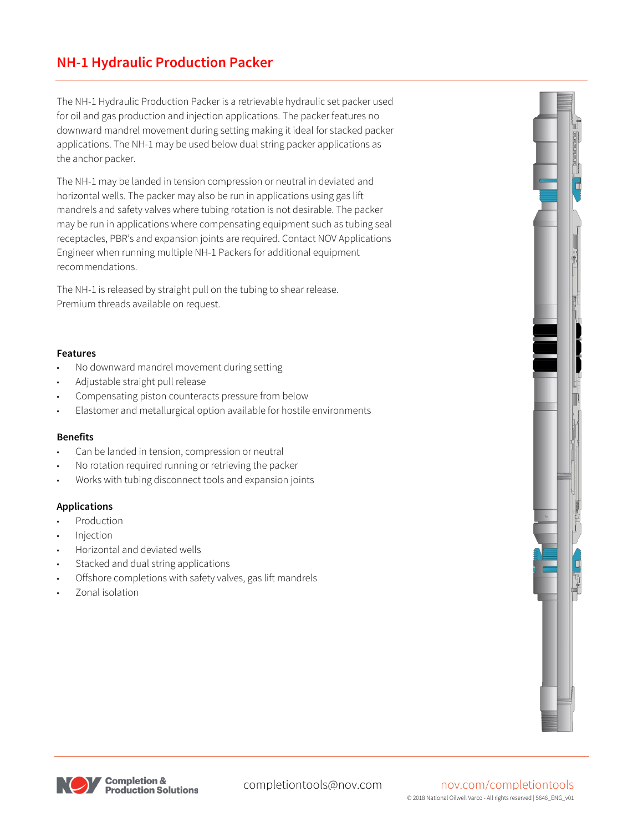## **NH-1 Hydraulic Production Packer**

The NH-1 Hydraulic Production Packer is a retrievable hydraulic set packer used for oil and gas production and injection applications. The packer features no downward mandrel movement during setting making it ideal for stacked packer applications. The NH-1 may be used below dual string packer applications as the anchor packer.

The NH-1 may be landed in tension compression or neutral in deviated and horizontal wells. The packer may also be run in applications using gas lift mandrels and safety valves where tubing rotation is not desirable. The packer may be run in applications where compensating equipment such as tubing seal receptacles, PBR's and expansion joints are required. Contact NOV Applications Engineer when running multiple NH-1 Packers for additional equipment recommendations.

The NH-1 is released by straight pull on the tubing to shear release. Premium threads available on request.

### **Features**

- No downward mandrel movement during setting
- Adjustable straight pull release
- Compensating piston counteracts pressure from below
- Elastomer and metallurgical option available for hostile environments

#### **Benefits**

- Can be landed in tension, compression or neutral
- No rotation required running or retrieving the packer
- Works with tubing disconnect tools and expansion joints

### **Applications**

- **Production**
- **Injection**
- Horizontal and deviated wells
- Stacked and dual string applications
- Offshore completions with safety valves, gas lift mandrels
- Zonal isolation